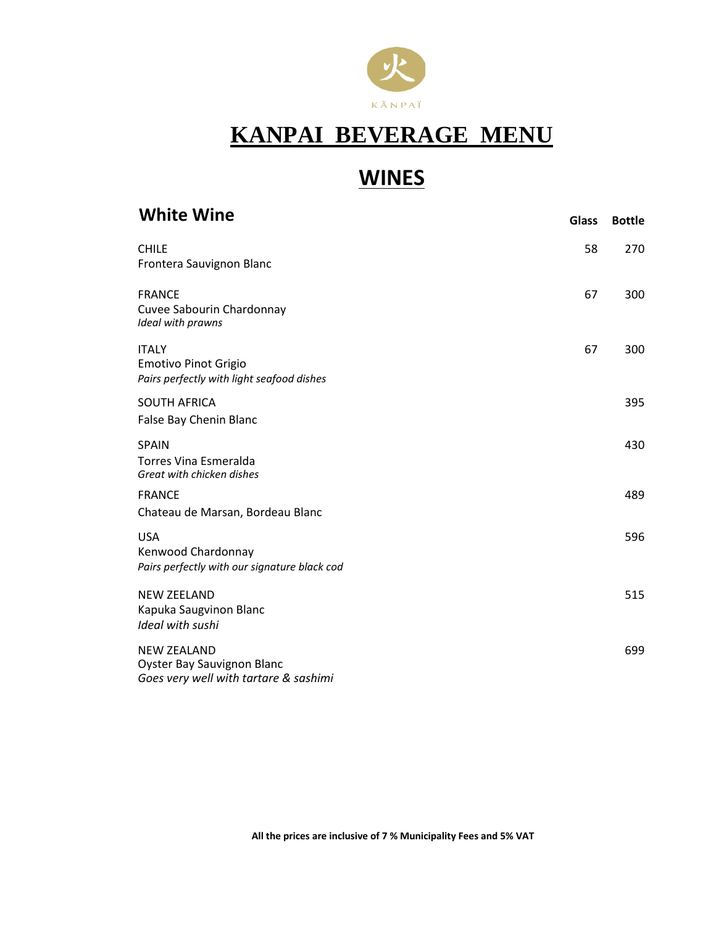

# **WINES**

| <b>White Wine</b>                                                                                | <b>Glass</b> | <b>Bottle</b> |
|--------------------------------------------------------------------------------------------------|--------------|---------------|
| <b>CHILE</b><br>Frontera Sauvignon Blanc                                                         | 58           | 270           |
| <b>FRANCE</b><br>Cuvee Sabourin Chardonnay<br>Ideal with prawns                                  | 67           | 300           |
| <b>ITALY</b><br><b>Emotivo Pinot Grigio</b><br>Pairs perfectly with light seafood dishes         | 67           | 300           |
| <b>SOUTH AFRICA</b><br>False Bay Chenin Blanc                                                    |              | 395           |
| <b>SPAIN</b><br>Torres Vina Esmeralda<br>Great with chicken dishes                               |              | 430           |
| <b>FRANCE</b><br>Chateau de Marsan, Bordeau Blanc                                                |              | 489           |
| <b>USA</b><br>Kenwood Chardonnay<br>Pairs perfectly with our signature black cod                 |              | 596           |
| <b>NEW ZEELAND</b><br>Kapuka Saugvinon Blanc<br>Ideal with sushi                                 |              | 515           |
| <b>NEW ZEALAND</b><br><b>Oyster Bay Sauvignon Blanc</b><br>Goes very well with tartare & sashimi |              | 699           |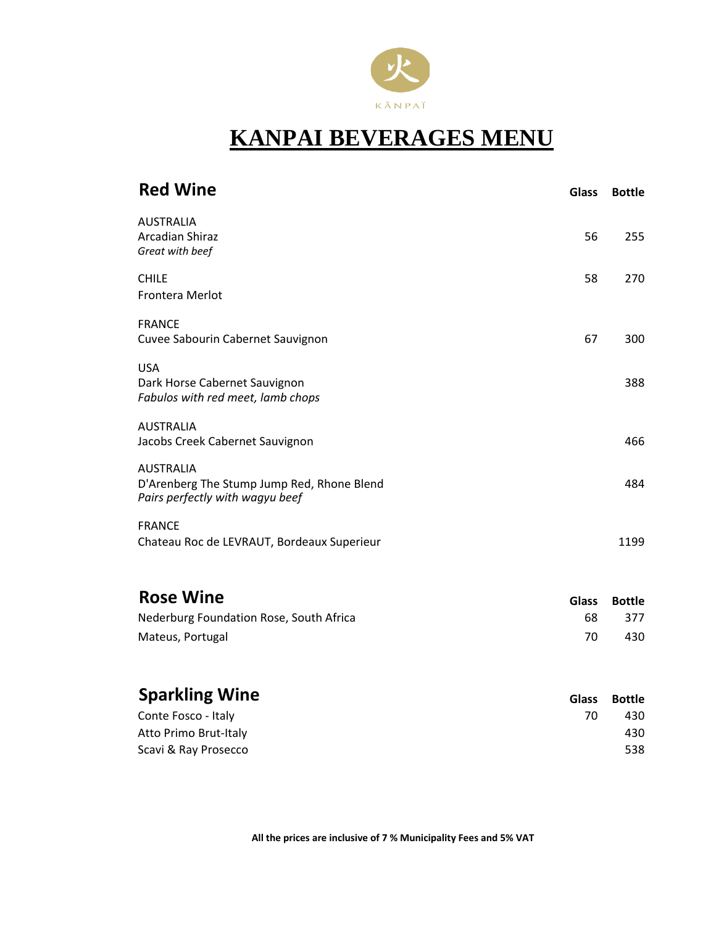

| <b>Red Wine</b>                                                                                   | <b>Glass</b> | <b>Bottle</b> |
|---------------------------------------------------------------------------------------------------|--------------|---------------|
| <b>AUSTRALIA</b><br><b>Arcadian Shiraz</b><br>Great with beef                                     | 56           | 255           |
| <b>CHILE</b><br>Frontera Merlot                                                                   | 58           | 270           |
| <b>FRANCE</b><br>Cuvee Sabourin Cabernet Sauvignon                                                | 67           | 300           |
| <b>USA</b><br>Dark Horse Cabernet Sauvignon<br>Fabulos with red meet, lamb chops                  |              | 388           |
| <b>AUSTRALIA</b><br>Jacobs Creek Cabernet Sauvignon                                               |              | 466           |
| <b>AUSTRALIA</b><br>D'Arenberg The Stump Jump Red, Rhone Blend<br>Pairs perfectly with wagyu beef |              | 484           |
| <b>FRANCE</b><br>Chateau Roc de LEVRAUT, Bordeaux Superieur                                       |              | 1199          |
| <b>Rose Wine</b>                                                                                  | <b>Glass</b> | <b>Bottle</b> |
| Nederburg Foundation Rose, South Africa<br>Mateus, Portugal                                       | 68<br>70     | 377<br>430    |
| Cnarlılina Wina                                                                                   |              |               |

| <b>Sparkling Wine</b> | Glass | Bottle |
|-----------------------|-------|--------|
| Conte Fosco - Italy   | 70    | 430    |
| Atto Primo Brut-Italy |       | 430    |
| Scavi & Ray Prosecco  |       | 538    |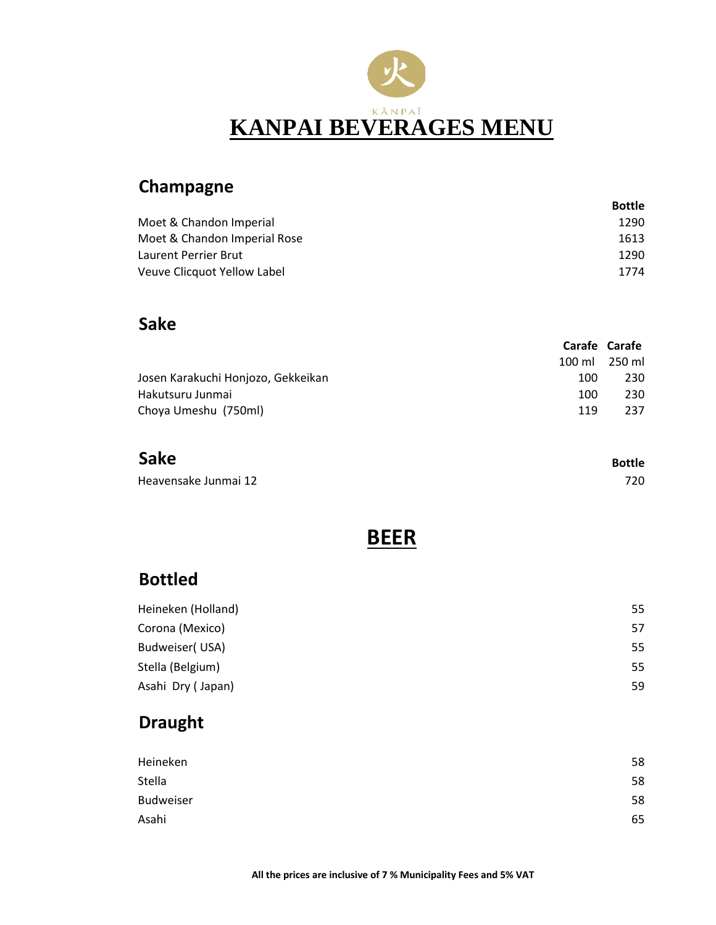

#### **Champagne**

|                              | Bottle |
|------------------------------|--------|
| Moet & Chandon Imperial      | 1290   |
| Moet & Chandon Imperial Rose | 1613   |
| Laurent Perrier Brut         | 1290   |
| Veuve Clicquot Yellow Label  | 1774   |

#### **Sake**

|                                    |               | Carafe Carafe |
|------------------------------------|---------------|---------------|
|                                    | 100 ml 250 ml |               |
| Josen Karakuchi Honjozo, Gekkeikan | 100           | 230           |
| Hakutsuru Junmai                   | 100           | 230           |
| Choya Umeshu (750ml)               | 119           | 237           |

#### **Sake**

Heavensake Junmai 12 720

**BEER**

**Bottle**

#### **Bottled**

| Heineken (Holland) | 55 |
|--------------------|----|
| Corona (Mexico)    | 57 |
| Budweiser(USA)     | 55 |
| Stella (Belgium)   | 55 |
| Asahi Dry (Japan)  | 59 |

#### **Draught**

| Heineken         | 58 |
|------------------|----|
| Stella           | 58 |
| <b>Budweiser</b> | 58 |
| Asahi            | 65 |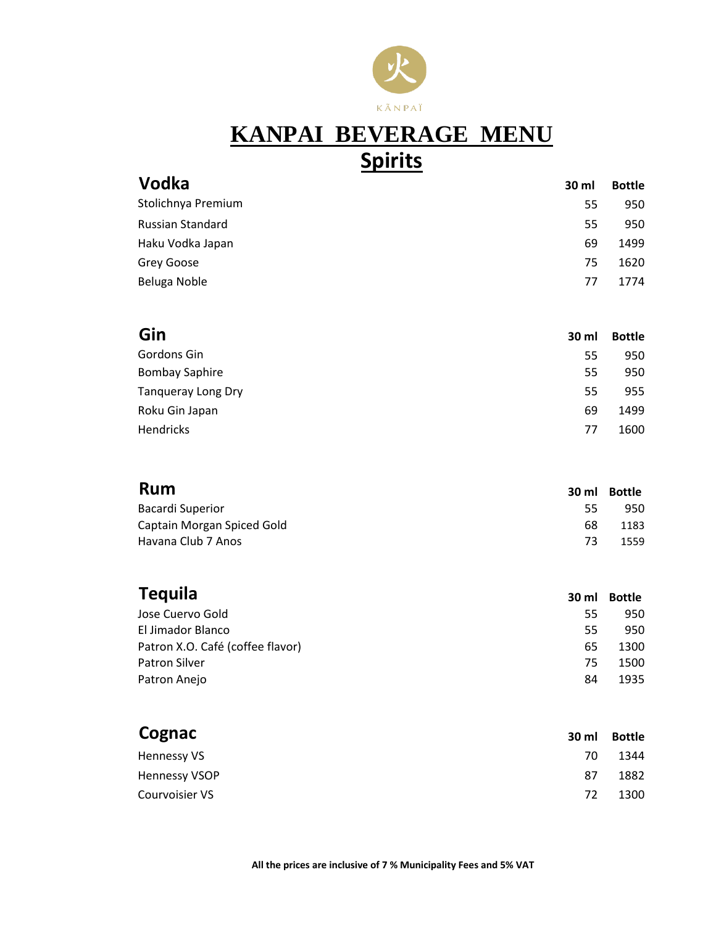

# **KANPAI BEVERAGE MENU Spirits**

| Vodka                   | 30 ml | <b>Bottle</b> |
|-------------------------|-------|---------------|
| Stolichnya Premium      | 55    | 950           |
| <b>Russian Standard</b> | 55    | 950           |
| Haku Vodka Japan        | 69    | 1499          |
| Grey Goose              | 75    | 1620          |
| Beluga Noble            | 77    | 1774          |
|                         |       |               |

| Gin                       | 30 ml | <b>Bottle</b> |
|---------------------------|-------|---------------|
| Gordons Gin               | 55    | 950           |
| <b>Bombay Saphire</b>     | 55    | 950           |
| <b>Tanqueray Long Dry</b> | 55    | 955           |
| Roku Gin Japan            | 69    | 1499          |
| Hendricks                 | 77    | 1600          |

| <b>Rum</b>                 | 30 ml | Bottle |
|----------------------------|-------|--------|
| Bacardi Superior           | 55    | 950    |
| Captain Morgan Spiced Gold | 68    | 1183   |
| Havana Club 7 Anos         | 73    | 1559   |

| <b>Tequila</b>                   | 30 ml | Bottle |
|----------------------------------|-------|--------|
| Jose Cuervo Gold                 | 55    | 950    |
| El Jimador Blanco                | 55    | 950    |
| Patron X.O. Café (coffee flavor) | 65    | 1300   |
| <b>Patron Silver</b>             | 75    | 1500   |
| Patron Anejo                     | 84    | 1935   |

| Cognac               | 30 ml | <b>Bottle</b> |
|----------------------|-------|---------------|
| Hennessy VS          | 70    | 1344          |
| <b>Hennessy VSOP</b> | 87    | 1882          |
| Courvoisier VS       | 72    | 1300          |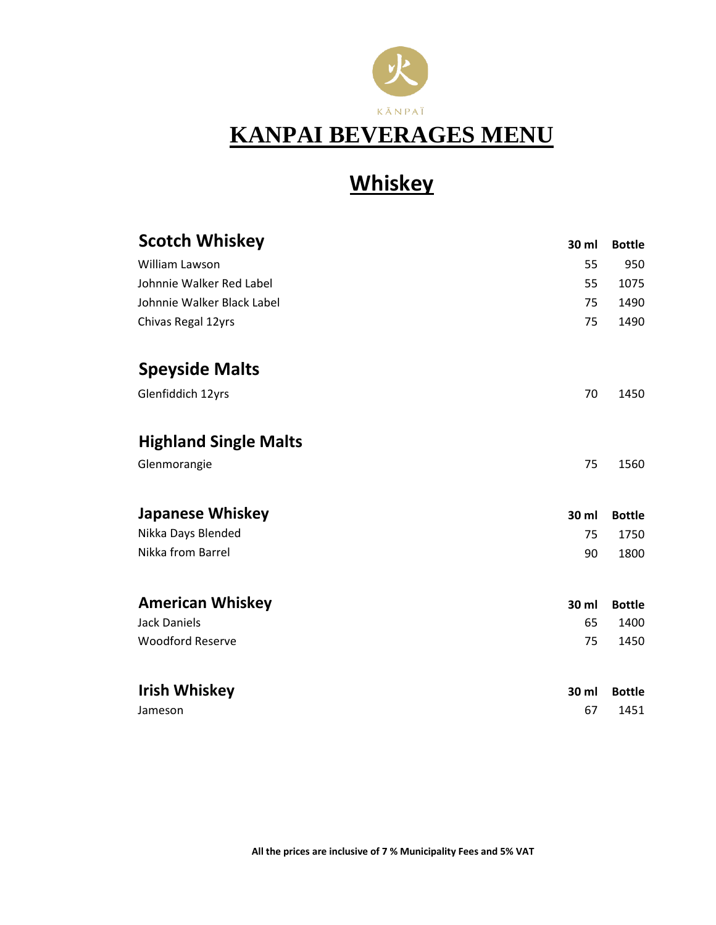

# **Whiskey**

| <b>Scotch Whiskey</b>        | 30 ml | <b>Bottle</b> |
|------------------------------|-------|---------------|
| William Lawson               | 55    | 950           |
| Johnnie Walker Red Label     | 55    | 1075          |
| Johnnie Walker Black Label   | 75    | 1490          |
| Chivas Regal 12yrs           | 75    | 1490          |
| <b>Speyside Malts</b>        |       |               |
| Glenfiddich 12yrs            | 70    | 1450          |
| <b>Highland Single Malts</b> |       |               |
| Glenmorangie                 | 75    | 1560          |
| <b>Japanese Whiskey</b>      | 30 ml | <b>Bottle</b> |
| Nikka Days Blended           | 75    | 1750          |
| Nikka from Barrel            | 90    | 1800          |
| <b>American Whiskey</b>      | 30 ml | <b>Bottle</b> |
| <b>Jack Daniels</b>          | 65    | 1400          |
| <b>Woodford Reserve</b>      | 75    | 1450          |
| <b>Irish Whiskey</b>         | 30 ml | <b>Bottle</b> |
| Jameson                      | 67    | 1451          |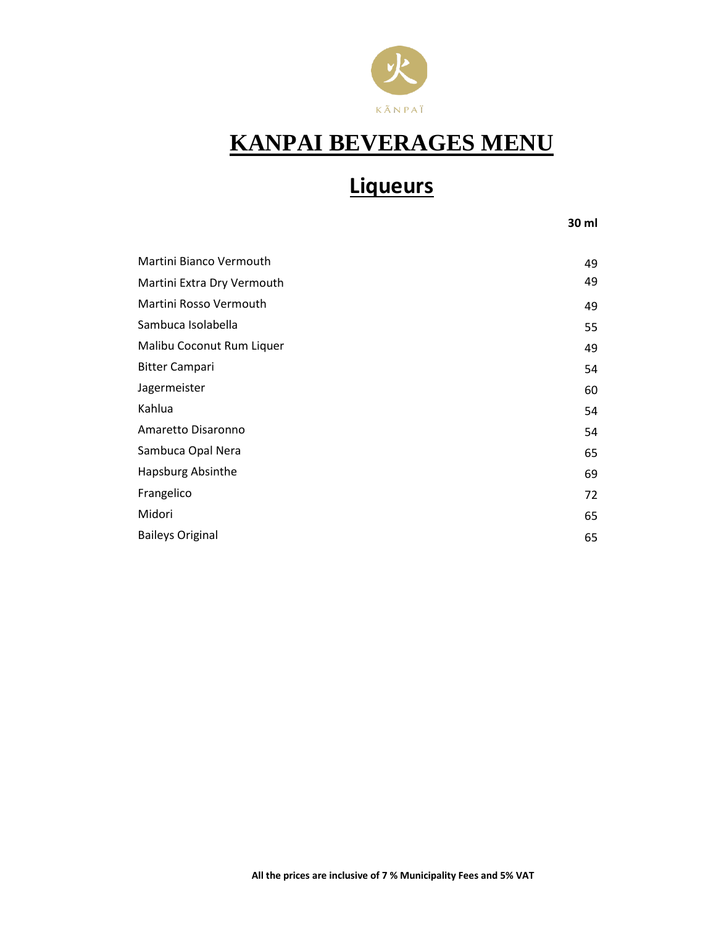

# **Liqueurs**

**30 ml**

| 49 |
|----|
| 49 |
| 49 |
| 55 |
| 49 |
| 54 |
| 60 |
| 54 |
| 54 |
| 65 |
| 69 |
| 72 |
| 65 |
| 65 |
|    |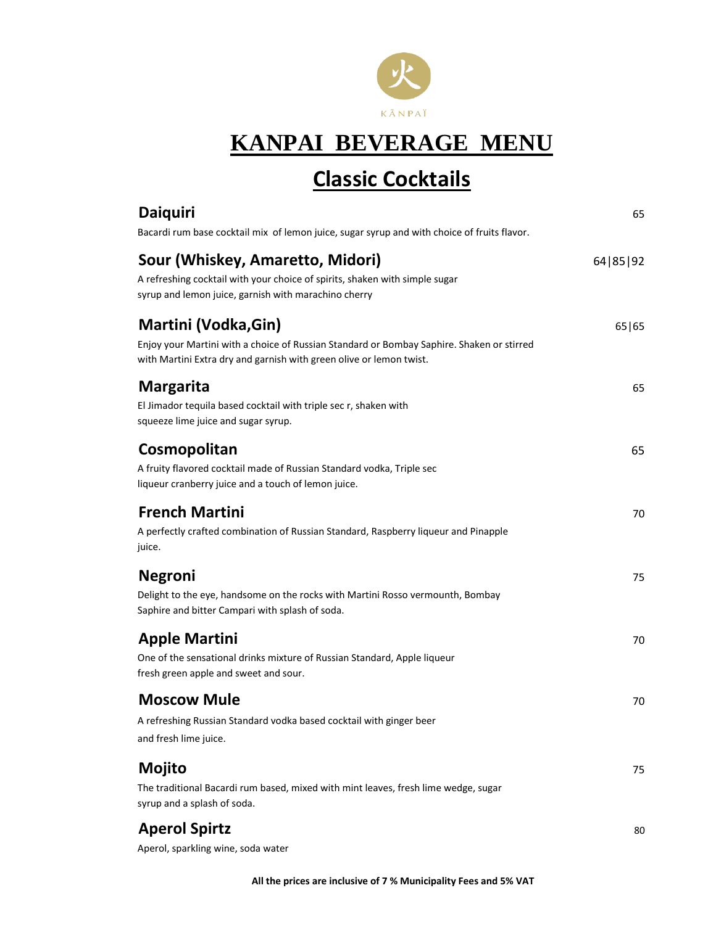

### **Classic Cocktails**

| <b>Daiquiri</b><br>Bacardi rum base cocktail mix of lemon juice, sugar syrup and with choice of fruits flavor.                                                                           | 65       |
|------------------------------------------------------------------------------------------------------------------------------------------------------------------------------------------|----------|
| Sour (Whiskey, Amaretto, Midori)<br>A refreshing cocktail with your choice of spirits, shaken with simple sugar<br>syrup and lemon juice, garnish with marachino cherry                  | 64 85 92 |
| Martini (Vodka, Gin)<br>Enjoy your Martini with a choice of Russian Standard or Bombay Saphire. Shaken or stirred<br>with Martini Extra dry and garnish with green olive or lemon twist. | 65 65    |
| <b>Margarita</b><br>El Jimador tequila based cocktail with triple sec r, shaken with<br>squeeze lime juice and sugar syrup.                                                              | 65       |
| Cosmopolitan<br>A fruity flavored cocktail made of Russian Standard vodka, Triple sec<br>liqueur cranberry juice and a touch of lemon juice.                                             | 65       |
| <b>French Martini</b><br>A perfectly crafted combination of Russian Standard, Raspberry liqueur and Pinapple<br>juice.                                                                   | 70       |
| <b>Negroni</b><br>Delight to the eye, handsome on the rocks with Martini Rosso vermounth, Bombay<br>Saphire and bitter Campari with splash of soda.                                      | 75       |
| <b>Apple Martini</b><br>One of the sensational drinks mixture of Russian Standard, Apple liqueur<br>fresh green apple and sweet and sour.                                                | 70       |
| <b>Moscow Mule</b><br>A refreshing Russian Standard vodka based cocktail with ginger beer<br>and fresh lime juice.                                                                       | 70       |
| <b>Mojito</b><br>The traditional Bacardi rum based, mixed with mint leaves, fresh lime wedge, sugar<br>syrup and a splash of soda.                                                       | 75       |
| <b>Aperol Spirtz</b><br>Aperol, sparkling wine, soda water                                                                                                                               | 80       |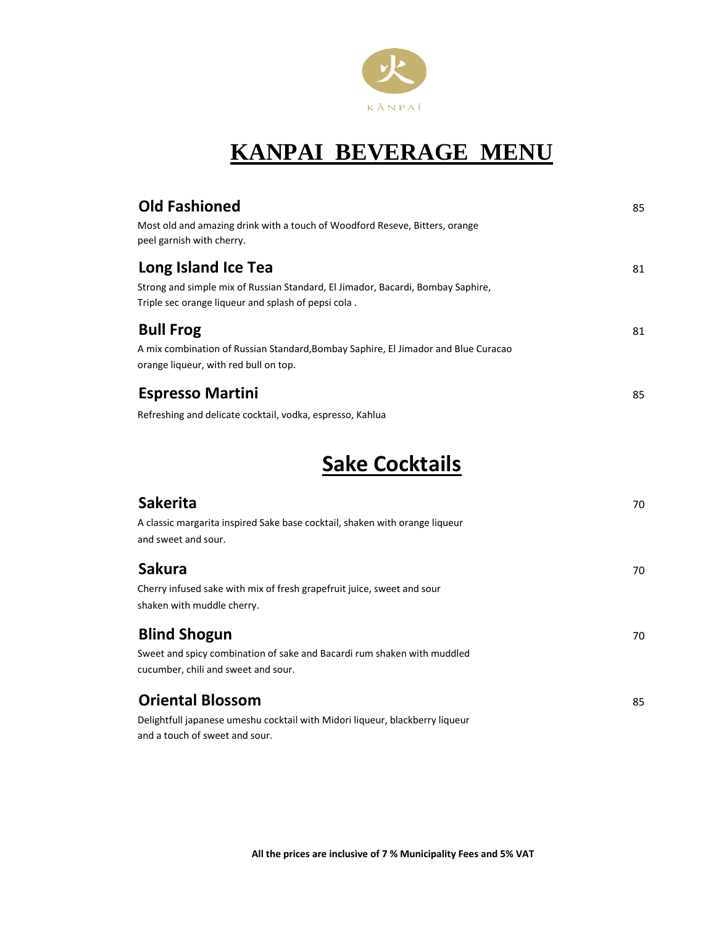

| <b>Old Fashioned</b><br>Most old and amazing drink with a touch of Woodford Reseve, Bitters, orange<br>peel garnish with cherry.                              | 85 |
|---------------------------------------------------------------------------------------------------------------------------------------------------------------|----|
| Long Island Ice Tea<br>Strong and simple mix of Russian Standard, El Jimador, Bacardi, Bombay Saphire,<br>Triple sec orange liqueur and splash of pepsi cola. | 81 |
| <b>Bull Frog</b><br>A mix combination of Russian Standard, Bombay Saphire, El Jimador and Blue Curacao<br>orange liqueur, with red bull on top.               | 81 |
| <b>Espresso Martini</b><br>Refreshing and delicate cocktail, vodka, espresso, Kahlua                                                                          | 85 |

#### **Sake Cocktails**

| <b>Sakerita</b>                                                              | 70 |
|------------------------------------------------------------------------------|----|
| A classic margarita inspired Sake base cocktail, shaken with orange liqueur  |    |
| and sweet and sour.                                                          |    |
| <b>Sakura</b>                                                                | 70 |
| Cherry infused sake with mix of fresh grapefruit juice, sweet and sour       |    |
| shaken with muddle cherry.                                                   |    |
| <b>Blind Shogun</b>                                                          | 70 |
| Sweet and spicy combination of sake and Bacardi rum shaken with muddled      |    |
| cucumber, chili and sweet and sour.                                          |    |
| <b>Oriental Blossom</b>                                                      | 85 |
| Delightfull japanese umeshu cocktail with Midori liqueur, blackberry liqueur |    |
| and a touch of sweet and sour.                                               |    |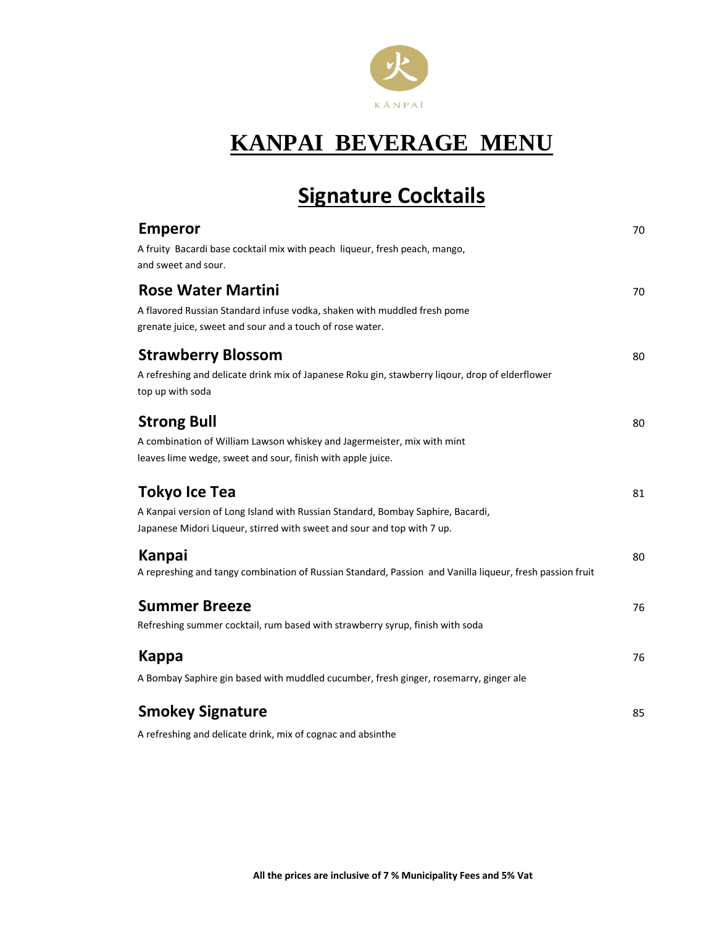

# **Signature Cocktails**

| <b>Emperor</b><br>A fruity Bacardi base cocktail mix with peach liqueur, fresh peach, mango,<br>and sweet and sour.                                                                | 70 |
|------------------------------------------------------------------------------------------------------------------------------------------------------------------------------------|----|
| <b>Rose Water Martini</b><br>A flavored Russian Standard infuse vodka, shaken with muddled fresh pome<br>grenate juice, sweet and sour and a touch of rose water.                  | 70 |
| <b>Strawberry Blossom</b><br>A refreshing and delicate drink mix of Japanese Roku gin, stawberry liqour, drop of elderflower<br>top up with soda                                   | 80 |
| <b>Strong Bull</b><br>A combination of William Lawson whiskey and Jagermeister, mix with mint<br>leaves lime wedge, sweet and sour, finish with apple juice.                       | 80 |
| <b>Tokyo Ice Tea</b><br>A Kanpai version of Long Island with Russian Standard, Bombay Saphire, Bacardi,<br>Japanese Midori Liqueur, stirred with sweet and sour and top with 7 up. | 81 |
| Kanpai<br>A represhing and tangy combination of Russian Standard, Passion and Vanilla liqueur, fresh passion fruit                                                                 | 80 |
| <b>Summer Breeze</b><br>Refreshing summer cocktail, rum based with strawberry syrup, finish with soda                                                                              | 76 |
| <b>Kappa</b><br>A Bombay Saphire gin based with muddled cucumber, fresh ginger, rosemarry, ginger ale                                                                              | 76 |
| <b>Smokey Signature</b>                                                                                                                                                            | 85 |

A refreshing and delicate drink, mix of cognac and absinthe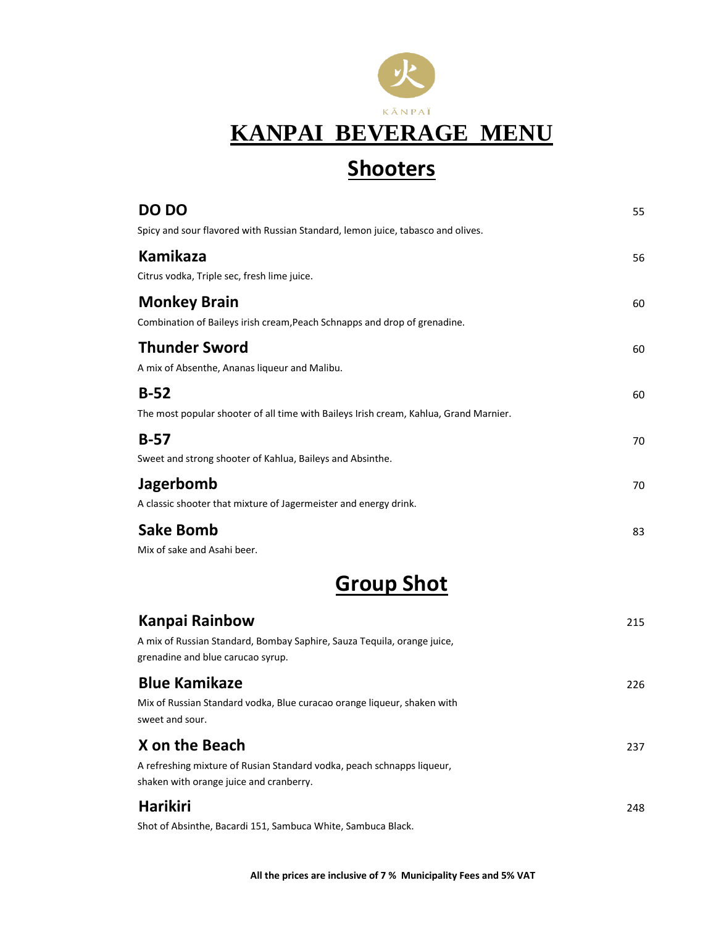

### **Shooters**

| DO DO                                                                                 | 55 |
|---------------------------------------------------------------------------------------|----|
| Spicy and sour flavored with Russian Standard, lemon juice, tabasco and olives.       |    |
| <b>Kamikaza</b>                                                                       | 56 |
| Citrus vodka, Triple sec, fresh lime juice.                                           |    |
| <b>Monkey Brain</b>                                                                   | 60 |
| Combination of Baileys irish cream, Peach Schnapps and drop of grenadine.             |    |
| <b>Thunder Sword</b>                                                                  | 60 |
| A mix of Absenthe, Ananas liqueur and Malibu.                                         |    |
| $B-52$                                                                                | 60 |
| The most popular shooter of all time with Baileys Irish cream, Kahlua, Grand Marnier. |    |
| $B-57$                                                                                | 70 |
| Sweet and strong shooter of Kahlua, Baileys and Absinthe.                             |    |
| <b>Jagerbomb</b>                                                                      | 70 |
| A classic shooter that mixture of Jagermeister and energy drink.                      |    |
| <b>Sake Bomb</b>                                                                      | 83 |
| Mix of sake and Asahi beer.                                                           |    |
| Croun Chot                                                                            |    |

#### **Group Shot**

| Kanpai Rainbow                                                                                                    | 215 |
|-------------------------------------------------------------------------------------------------------------------|-----|
| A mix of Russian Standard, Bombay Saphire, Sauza Tequila, orange juice,<br>grenadine and blue carucao syrup.      |     |
| <b>Blue Kamikaze</b>                                                                                              | 226 |
| Mix of Russian Standard vodka, Blue curacao orange liqueur, shaken with<br>sweet and sour.                        |     |
| X on the Beach                                                                                                    | 237 |
| A refreshing mixture of Rusian Standard vodka, peach schnapps liqueur,<br>shaken with orange juice and cranberry. |     |
| <b>Harikiri</b>                                                                                                   | 248 |
| Shot of Absinthe, Bacardi 151, Sambuca White, Sambuca Black.                                                      |     |